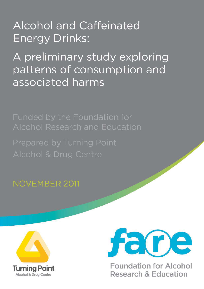# **Alcohol and Caffeinated Energy Drinks:**

A preliminary study exploring patterns of consumption and associated harms

Alcohol Research and Education

Prepared by Turning Point

**NOVEMBER 2011** 





**Foundation for Alcohol Research & Education**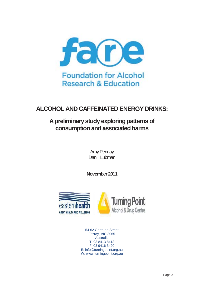

## **ALCOHOL AND CAFFEINATED ENERGY DRINKS:**

## **A preliminary study exploring patterns of consumption and associated harms**

Amy Pennay Dan I. Lubman

**November 2011** 



54-62 Gertrude Street Fitzroy, VIC 3065 Australia T: 03 8413 8413 F: 03 9416 3420 E: info@turningpoint.org.au W: www.turningpoint.org.au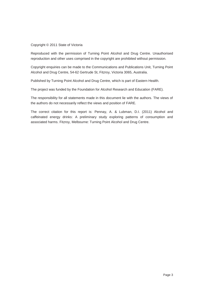#### Copyright © 2011 State of Victoria

Reproduced with the permission of Turning Point Alcohol and Drug Centre. Unauthorised reproduction and other uses comprised in the copyright are prohibited without permission.

Copyright enquiries can be made to the Communications and Publications Unit, Turning Point Alcohol and Drug Centre, 54-62 Gertrude St, Fitzroy, Victoria 3065, Australia.

Published by Turning Point Alcohol and Drug Centre, which is part of Eastern Health.

The project was funded by the Foundation for Alcohol Research and Education (FARE).

The responsibility for all statements made in this document lie with the authors. The views of the authors do not necessarily reflect the views and position of FARE.

The correct citation for this report is: Pennay, A. & Lubman, D.I. (2011) Alcohol and caffeinated energy drinks: A preliminary study exploring patterns of consumption and associated harms. Fitzroy, Melbourne: Turning Point Alcohol and Drug Centre.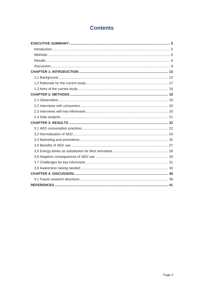## **Contents**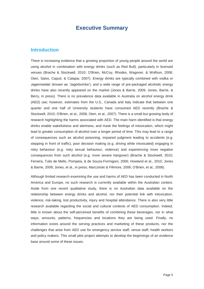## **Executive Summary**

### **Introduction**

There is increasing evidence that a growing proportion of young people around the world are using alcohol in combination with energy drinks (such as Red Bull), particularly in licensed venues (Brache & Stockwell, 2010; O'Brien, McCoy, Rhodes, Wagoner, & Wolfson, 2008; Oteri, Salvo, Caputi, & Calapai, 2007). Energy drinks are typically combined with vodka or Jagermeister (known as 'Jagerbombs'), and a wide range of pre-packaged alcoholic energy drinks have also recently appeared on the market (Jones & Barrie, 2009; Jones, Barrie, & Berry, in press). There is no prevalence data available in Australia on alcohol energy drink (AED) use; however, estimates from the U.S., Canada and Italy indicate that between one quarter and one half of University students have consumed AED recently (Brache & Stockwell, 2010; O'Brien, et al., 2008; Oteri, et al., 2007). There is a small but growing body of research highlighting the harms associated with AED. The main harm identified is that energy drinks enable wakefulness and alertness, and mask the feelings of intoxication, which might lead to greater consumption of alcohol over a longer period of time. This may lead to a range of consequences such as alcohol poisoning, impaired judgment leading to accidents (e.g. stepping in front of traffic), poor decision making (e.g. driving while intoxicated) engaging in risky behaviour (e.g. risky sexual behaviour, violence) and experiencing more negative consequences from such alcohol (e.g. more severe hangover) (Brache & Stockwell, 2010; Ferreira, Tulio de Mello, Pompeia, & de Souza-Formigoni, 2006; Howland et al., 2010; Jones & Barrie, 2009; Jones, et al., in press; Marczinski & Fillmore, 2006; O'Brien, et al., 2008).

Although limited research examining the use and harms of AED has been conducted in North America and Europe, no such research is currently available within the Australian context. Aside from one recent qualitative study, there is no Australian data available on the relationship between energy drinks and alcohol, nor their potential link with intoxication, violence, risk-taking, lost productivity, injury and hospital attendance. There is also very little research available regarding the social and cultural contexts of AED consumption. Indeed, little is known about the self-perceived benefits of combining these beverages, nor in what ways, amounts, patterns, frequencies and locations they are being used. Finally, no information exists around the serving practices and marketing of these products, nor the challenges that arise from AED use for emergency service staff, venue staff, health workers and policy makers. This small pilot project attempts to develop the beginnings of an evidence base around some of these issues.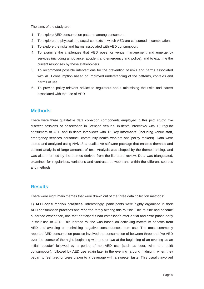The aims of the study are:

- 1. To explore AED consumption patterns among consumers.
- 2. To explore the physical and social contexts in which AED are consumed in combination.
- 3. To explore the risks and harms associated with AED consumption.
- 4. To examine the challenges that AED pose for venue management and emergency services (including ambulance, accident and emergency and police), and to examine the current responses by these stakeholders.
- 5. To recommend possible interventions for the prevention of risks and harms associated with AED consumption based on improved understanding of the patterns, contexts and harms of use.
- 6. To provide policy-relevant advice to regulators about minimising the risks and harms associated with the use of AED.

### **Methods**

There were three qualitative data collection components employed in this pilot study: five discreet sessions of observation in licensed venues, in-depth interviews with 10 regular consumers of AED and in-depth interviews with 12 'key informants' (including venue staff, emergency services personnel, community health workers and policy makers). Data were stored and analysed using NVivo8, a qualitative software package that enables thematic and content analysis of large amounts of text. Analysis was shaped by the themes arising, and was also informed by the themes derived from the literature review. Data was triangulated, examined for regularities, variations and contrasts between and within the different sources and methods.

## **Results**

There were eight main themes that were drawn out of the three data collection methods:

**1) AED consumption practices.** Interestingly, participants were highly organised in their AED consumption practices and reported rarely altering this routine. This routine had become a learned experience, one that participants had established after a trial and error phase early in their use of AED. This learned routine was based on achieving maximum benefits from AED and avoiding or minimising negative consequences from use. The most commonly reported AED consumption practice involved the consumption of between three and five AED over the course of the night, beginning with one or two at the beginning of an evening as an initial 'booster' followed by a period of non-AED use (such as beer, wine and spirit consumption), followed by AED use again later in the evening (around midnight) when they began to feel tired or were drawn to a beverage with a sweeter taste. This usually involved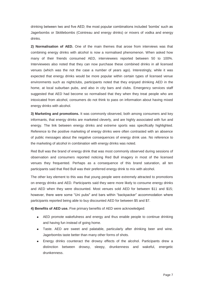drinking between two and five AED; the most popular combinations included 'bombs' such as Jagerbombs or Skittlebombs (Cointreau and energy drinks) or mixers of vodka and energy drinks.

**2) Normalisation of AED.** One of the main themes that arose from interviews was that combining energy drinks with alcohol is now a normalised phenomenon. When asked how many of their friends consumed AED, interviewees reported between 50 to 100%. Interviewees also noted that they can now purchase these combined drinks in all licensed venues (which was the not the case a number of years ago). Interestingly, while it was expected that energy drinks would be more popular within certain types of licensed venue environments such as nightclubs, participants noted that they enjoyed drinking AED in the home, at local suburban pubs, and also in city bars and clubs. Emergency services staff suggested that AED had become so normalised that they when they treat people who are intoxicated from alcohol, consumers do not think to pass on information about having mixed energy drinks with alcohol.

**3) Marketing and promotions.** It was commonly observed, both among consumers and key informants, that energy drinks are marketed cleverly, and are highly associated with fun and energy. The link between energy drinks and extreme sports was specifically highlighted. Reference to the positive marketing of energy drinks were often contrasted with an absence of public messages about the negative consequences of energy drink use. No reference to the marketing of alcohol in combination with energy drinks was noted.

Red Bull was the brand of energy drink that was most commonly observed during sessions of observation and consumers reported noticing Red Bull imagery in most of the licensed venues they frequented. Perhaps as a consequence of this brand saturation, all ten participants said that Red Bull was their preferred energy drink to mix with alcohol.

The other key element to this was that young people were extremely attracted to promotions on energy drinks and AED. Participants said they were more likely to consume energy drinks and AED when they were discounted. Most venues sold AED for between \$11 and \$15; however, there were some "Uni pubs" and bars within "backpacker" accommodation where participants reported being able to buy discounted AED for between \$5 and \$7.

**4) Benefits of AED use.** Five primary benefits of AED were acknowledged:

- AED promote wakefulness and energy and thus enable people to continue drinking and having fun instead of going home.
- Taste. AED are sweet and palatable, particularly after drinking beer and wine. Jagerbombs taste better than many other forms of shots.
- Energy drinks counteract the drowsy effects of the alcohol. Participants drew a distinction between drowsy, sleepy, drunkenness and wakeful, energetic drunkenness.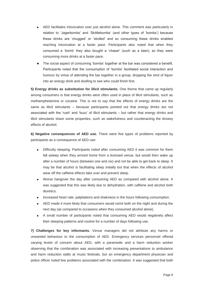- AED facilitates intoxication over just alcohol alone. This comment was particularly in relation to 'Jagerbombs' and 'Skittlebombs' (and other types of 'bombs') because these drinks are 'chugged' or 'skolled' and so consuming these drinks enabled reaching intoxication at a faster pace. Participants also noted that when they consumed a 'bomb' they also bought a 'chaser' (such as a beer), so they were consuming more drinks at a faster pace.
- The social aspect of consuming 'bombs' together at the bar was considered a benefit.  $\bullet$ Participants noted that the consumption of 'bombs' facilitated social interaction and humour by virtue of attending the bar together in a group, dropping the shot of liquor into an energy drink and skolling to see who could finish first.

**5) Energy drinks as substitution for illicit stimulants.** One theme that came up regularly among consumers is that energy drinks were often used in place of illicit stimulants, such as methamphetamine or cocaine. This is not to say that the effects of energy drinks are the same as illicit stimulants – because participants pointed out that energy drinks are not associated with the 'rush' and 'buzz' of illicit stimulants – but rather that energy drinks and illicit stimulants share some properties, such as wakefulness and counteracting the drowsy effects of alcohol.

**6) Negative consequences of AED use.** There were five types of problems reported by participants as a consequence of AED use:

- Difficulty sleeping. Participants noted after consuming AED it was common for them fall asleep when they arrived home from a licensed venue, but would then wake up after a number of hours (between one and six) and not be able to get back to sleep. It may be that alcohol is facilitating sleep initially but that when the effects of alcohol wear off the caffeine effects take over and prevent sleep.
- Worse hangover the day after consuming AED as compared with alcohol alone. It was suggested that this was likely due to dehydration, with caffeine and alcohol both diuretics.
- Increased heart rate, palpitations and shakiness in the hours following consumption.
- AED made it more likely that consumers would vomit both on the night and during the next day (as compared to occasions when they consumed alcohol alone).
- A small number of participants noted that consuming AED would negatively affect their sleeping patterns and routine for a number of days following use.

**7) Challenges for key informants.** Venue managers did not attribute any harms or unwanted behaviour to the consumption of AED. Emergency services personnel offered varying levels of concern about AED, with a paramedic and a harm reduction worker observing that the combination was associated with increasing presentations to ambulance and harm reduction stalls at music festivals, but an emergency department physician and police officer noted few problems associated with the combination. It was suggested that both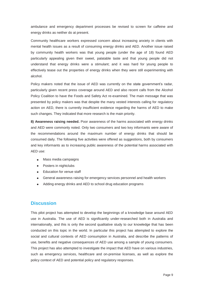ambulance and emergency department processes be revised to screen for caffeine and energy drinks as neither do at present.

Community healthcare workers expressed concern about increasing anxiety in clients with mental health issues as a result of consuming energy drinks and AED. Another issue raised by community health workers was that young people (under the age of 18) found AED particularly appealing given their sweet, palatable taste and that young people did not understand that energy drinks were a stimulant; and it was hard for young people to effectively tease out the properties of energy drinks when they were still experimenting with alcohol.

Policy makers noted that the issue of AED was currently on the state government's radar, particularly given recent press coverage around AED and also recent calls from the Alcohol Policy Coalition to have the Foods and Safety Act re-examined. The main message that was presented by policy makers was that despite the many vested interests calling for regulatory action on AED, there is currently insufficient evidence regarding the harms of AED to make such changes. They indicated that more research is the main priority.

**8) Awareness raising needed.** Poor awareness of the harms associated with energy drinks and AED were commonly noted. Only two consumers and two key informants were aware of the recommendations around the maximum number of energy drinks that should be consumed daily. The following five activities were offered as suggestions, both by consumers and key informants as to increasing public awareness of the potential harms associated with AED use:

- Mass media campaigns
- Posters in nightclubs
- **Education for venue staff**
- General awareness raising for emergency services personnel and health workers
- Adding energy drinks and AED to school drug education programs

#### **Discussion**

This pilot project has attempted to develop the beginnings of a knowledge base around AED use in Australia. The use of AED is significantly under-researched both in Australia and internationally, and this is only the second qualitative study to our knowledge that has been conducted on this topic in the world. In particular this project has attempted to explore the social and cultural contexts of AED consumption in Australia, and describe the patterns of use, benefits and negative consequences of AED use among a sample of young consumers. This project has also attempted to investigate the impact that AED have on various industries, such as emergency services, healthcare and on-premise licenses, as well as explore the policy context of AED and potential policy and regulatory responses.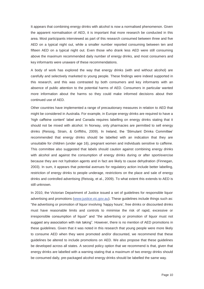It appears that combining energy drinks with alcohol is now a normalised phenomenon. Given the apparent normalisation of AED, it is important that more research be conducted in this area. Most participants interviewed as part of this research consumed between three and five AED on a typical night out, while a smaller number reported consuming between ten and fifteen AED on a typical night out. Even those who drank less AED were still consuming above the maximum recommended daily number of energy drinks, and most consumers and key informants were unaware of these recommendations.

A body of work has explored the way that energy drinks (with and without alcohol) are carefully and selectively marketed to young people. These findings were indeed supported in this research, and this was contrasted by both consumers and key informants with an absence of public attention to the potential harms of AED. Consumers in particular wanted more information about the harms so they could make informed decisions about their continued use of AED.

Other countries have implemented a range of precautionary measures in relation to AED that might be considered in Australia. For example, in Europe energy drinks are required to have a 'high caffeine content' label and Canada requires labelling on energy drinks stating that it should not be mixed with alcohol. In Norway, only pharmacies are permitted to sell energy drinks (Reissig, Strain, & Griffiths, 2009). In Ireland, the 'Stimulant Drinks Committee' recommended that energy drinks should be labelled with an indication that they are unsuitable for children (under age 16), pregnant women and individuals sensitive to caffeine. This committee also suggested that labels should caution against combining energy drinks with alcohol and against the consumption of energy drinks during or after sport/exercise because they are not hydration agents and in fact are likely to cause dehydration (Finnegan, 2003). In sum, it appears that potential avenues for regulatory action include better labelling, restriction of energy drinks to people underage, restrictions on the place and sale of energy drinks and controlled advertising (Reissig, et al., 2009). To what extent this extends to AED is still unknown.

In 2010, the Victorian Department of Justice issued a set of guidelines for responsible liquor advertising and promotions (www.justice.vic.gov.au). These guidelines include things such as: "the advertising or promotion of liquor involving 'happy hours', free drinks or discounted drinks must have reasonable limits and controls to minimise the risk of rapid, excessive or irresponsible consumption of liquor" and "the advertising or promotion of liquor must not suggest any association with risk taking". However, there is no mention of AED promotions in these guidelines. Given that it was noted in this research that young people were more likely to consume AED when they were promoted and/or discounted, we recommend that these guidelines be altered to include promotions on AED. We also propose that these guidelines be developed across all states. A second policy option that we recommend is that, given that energy drinks are labelled with a warning stating that a maximum of two energy drinks should be consumed daily, pre-packaged alcohol energy drinks should be labelled the same way.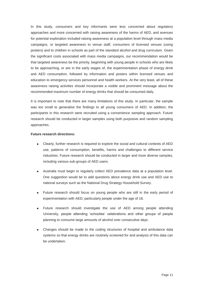In this study, consumers and key informants were less concerned about regulatory approaches and more concerned with raising awareness of the harms of AED, and avenues for potential exploration included raising awareness at a population level through mass media campaigns, or targeted awareness to venue staff, consumers of licensed venues (using posters) and to children in schools as part of the standard alcohol and drug curriculum. Given the significant costs associated with mass media campaigns, our recommendation would be that targeted awareness be the priority, beginning with young people in schools who are likely to be approaching, or are in the early stages of, the experimentation phase of energy drink and AED consumption, followed by information and posters within licensed venues and education to emergency services personnel and health workers. At the very least, all of these awareness raising activities should incorporate a visible and prominent message about the recommended maximum number of energy drinks that should be consumed daily.

It is important to note that there are many limitations of this study. In particular, the sample was too small to generalise the findings to all young consumers of AED. In addition, the participants in this research were recruited using a convenience sampling approach. Future research should be conducted in larger samples using both purposive and random sampling approaches.

#### **Future research directions:**

- Clearly, further research is required to explore the social and cultural contexts of AED use, patterns of consumption, benefits, harms and challenges to different service industries. Future research should be conducted in larger and more diverse samples, including various sub-groups of AED users.
- Australia must begin to regularly collect AED prevalence data at a population level. One suggestion would be to add questions about energy drink use and AED use to national surveys such as the National Drug Strategy Household Survey.
- Future research should focus on young people who are still in the early period of experimentation with AED; particularly people under the age of 18.
- Future research should investigate the use of AED among people attending University, people attending 'schoolies' celebrations and other groups of people planning to consume large amounts of alcohol over consecutive days.
- Changes should be made to the coding structures of hospital and ambulance data systems so that energy drinks are routinely screened for and analysis of this data can be undertaken.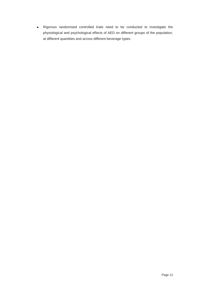Rigorous randomised controlled trials need to be conducted to investigate the physiological and psychological effects of AED on different groups of the population, at different quantities and across different beverage types.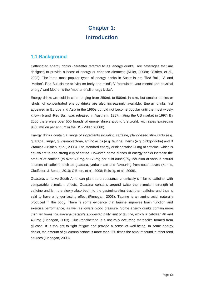## **Chapter 1: Introduction**

## **1.1 Background**

Caffeinated energy drinks (hereafter referred to as 'energy drinks') are beverages that are designed to provide a boost of energy or enhance alertness (Miller, 2008a; O'Brien, et al., 2008). The three most popular types of energy drinks in Australia are 'Red Bull', 'V' and 'Mother'. Red Bull claims to "vitalise body and mind", V "stimulates your mental and physical energy" and Mother is the "mother of all energy kicks".

Energy drinks are sold in cans ranging from 250mL to 500mL in size, but smaller bottles or 'shots' of concentrated energy drinks are also increasingly available. Energy drinks first appeared in Europe and Asia in the 1960s but did not become popular until the most widely known brand, Red Bull, was released in Austria in 1987; hitting the US market in 1997. By 2006 there were over 500 brands of energy drinks around the world, with sales exceeding \$500 million per annum in the US (Miller, 2008b).

Energy drinks contain a range of ingredients including caffeine, plant-based stimulants (e.g. guarana), sugar, glucuronolactone, amino acids (e.g. taurine), herbs (e.g. ginkgobiloba) and B vitamins (O'Brien, et al., 2008). The standard energy drink contains 80mg of caffeine, which is equivalent to one strong cup of coffee. However, some brands of energy drinks increase the amount of caffeine (to over 500mg or 170mg per fluid ounce) by inclusion of various natural sources of caffeine such as guarana, yerba mate and flavouring from coca leaves (Kuhns, Clodfelter, & Bersot, 2010; O'Brien, et al., 2008; Reissig, et al., 2009).

Guarana, a native South American plant, is a substance chemically similar to caffeine, with comparable stimulant effects. Guarana contains around twice the stimulant strength of caffeine and is more slowly absorbed into the gastrointestinal tract than caffeine and thus is said to have a longer-lasting effect (Finnegan, 2003). Taurine is an amino acid, naturally produced in the body. There is some evidence that taurine improves brain function and exercise performance, as well as lowers blood pressure. Some energy drinks contain more than ten times the average person's suggested daily limit of taurine, which is between 40 and 400mg (Finnegan, 2003). Glucuronolactone is a naturally occurring metabolite formed from glucose. It is thought to fight fatigue and provide a sense of well-being. In some energy drinks, the amount of glucuronolactone is more than 250 times the amount found in other food sources (Finnegan, 2003).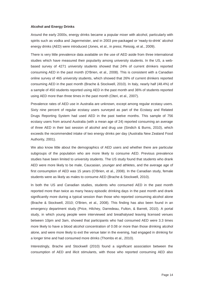#### **Alcohol and Energy Drinks**

Around the early 2000s, energy drinks became a popular mixer with alcohol, particularly with spirits such as vodka and Jagermeister, and in 2003 pre-packaged or 'ready-to-drink' alcohol energy drinks (AED) were introduced (Jones, et al., in press; Reissig, et al., 2009).

There is very little prevalence data available on the use of AED aside from three international studies which have measured their popularity among university students. In the US, a webbased survey of 4271 university students showed that 24% of current drinkers reported consuming AED in the past month (O'Brien, et al., 2008). This is consistent with a Canadian online survey of 465 university students, which showed that 26% of current drinkers reported consuming AED in the past month (Brache & Stockwell, 2010). In Italy, nearly half (48.4%) of a sample of 450 students reported using AED in the past month and 36% of students reported using AED more than three times in the past month (Oteri, et al., 2007).

Prevalence rates of AED use in Australia are unknown, except among regular ecstasy users. Sixty nine percent of regular ecstasy users surveyed as part of the Ecstasy and Related Drugs Reporting System had used AED in the past twelve months. This sample of 756 ecstasy users from around Australia (with a mean age of 24) reported consuming an average of three AED in their last session of alcohol and drug use (Sindich & Burns, 2010), which exceeds the recommended intake of two energy drinks per day (Australia New Zealand Food Authority, 2001).

We also know little about the demographics of AED users and whether there are particular subgroups of the population who are more likely to consume AED. Previous prevalence studies have been limited to university students. The US study found that students who drank AED were more likely to be male, Caucasian, younger and athletes, and the average age of first consumption of AED was 15 years (O'Brien, et al., 2008). In the Canadian study, female students were as likely as males to consume AED (Brache & Stockwell, 2010).

In both the US and Canadian studies, students who consumed AED in the past month reported more than twice as many heavy episodic drinking days in the past month and drank significantly more during a typical session than those who reported consuming alcohol alone (Brache & Stockwell, 2010; O'Brien, et al., 2008). This finding has also been found in an emergency department study (Price, Hilchey, Darredeau, Fulton, & Barrett, 2010). A portal study, in which young people were interviewed and breathalysed leaving licensed venues between 10pm and 3am, showed that participants who had consumed AED were 3.3 times more likely to have a blood alcohol concentration of 0.08 or more than those drinking alcohol alone, and were more likely to exit the venue later in the evening, had engaged in drinking for a longer time and had consumed more drinks (Thombs et al., 2010).

Interestingly, Brache and Stockwell (2010) found a significant association between the consumption of AED and illicit stimulants, with those who reported consuming AED also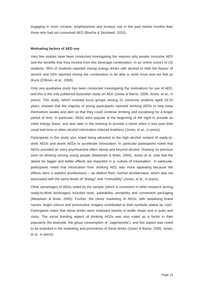engaging in more cocaine, amphetamine and ecstasy use in the past twelve months than those who had not consumed AED (Brache & Stockwell, 2010).

#### **Motivating factors of AED use**

Very few studies have been conducted investigating the reasons why people consume AED and the benefits that they receive from this beverage combination. In an online survey of US students, 55% of students reported mixing energy drinks with alcohol to hide the flavour of alcohol and 15% reported mixing the combination to be able to drink more and not feel as drunk (O'Brien, et al., 2008).

Only one qualitative study has been conducted investigating the motivations for use of AED, and this is the only published Australian study on AED (Jones & Barrie, 2009; Jones, et al., in press). This study, which involved focus groups among 21 university students aged 18-25 years, showed that the majority of young participants reported drinking AEDs to help keep themselves awake and alert so that they could continue drinking and socialising for a longer period of time. In particular, AEDs were popular at the beginning of the night to provide an initial energy boost, and also later in the evening to provide a boost when it was past their usual bed-time or when alcohol intoxication induced tiredness (Jones, et al., in press).

Participants in this study also noted being attracted to the high alcohol content of ready-todrink AEDs and drank AEDs to accelerate intoxication. In particular participants noted that AEDs provided an extra psychoactive effect above and beyond alcohol. Drawing on previous work on drinking among young people (Measham & Brain, 2005), Jones et al. note that the desire for bigger and better effects are important in a 'culture of intoxication'. In particular, participants noted that intoxication from drinking AED was more appealing because the effects were a wakeful drunkenness – as distinct from 'normal drunkenness' which was not associated with the same levels of "energy" and "invincibility" (Jones, et al., in press).

Other advantages of AEDs noted by the sample (which is consistent in other research among ready-to-drink beverages) included taste, palatability, portability and convenient packaging (Measham & Brain, 2005). Further, the clever marketing of AEDs, with tantalising brand names, bright colours and provocative imagery contributed to their symbolic status as 'cool'. Participants noted that these drinks were marketed heavily in bottle shops and in pubs and clubs. The social bonding aspect of drinking AEDs was also noted as a factor in their popularity (for example, the group consumption of 'Jagerbombs'), and this aspect was noted to be exploited in the marketing and promotions of these drinks (Jones & Barrie, 2009; Jones, et al., in press).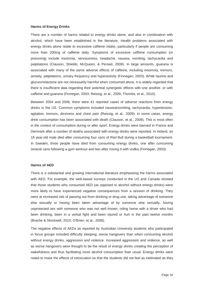#### **Harms of Energy Drinks**

There are a number of harms related to energy drinks alone, and also in combination with alcohol, which have been established in the literature. Health problems associated with energy drinks alone relate to excessive caffeine intake, particularly if people are consuming more than 200mg of caffeine daily. Symptoms of excessive caffeine consumption (or poisoning) include insomnia, nervousness, headache, nausea, vomiting, tachycardia and palpitations (Clauson, Shields, McQueen, & Persad, 2008). In large amounts, guarana is associated with many of the same adverse effects of caffeine, including insomnia, tremors, anxiety, palpitations, urinary frequency and hyperactivity (Finnegan, 2003). While taurine and glucuronolactone are not necessarily harmful when consumed alone, it is widely regarded that there is insufficient data regarding their potential synergistic effects with one another, or with caffeine and guarana (Finnegan, 2003; Reissig, et al., 2009; Thombs, et al., 2010).

Between 2004 and 2006, there were 41 reported cases of adverse reactions from energy drinks in the US. Common symptoms included nausea/vomiting, tachycardia, hypertension, agitation, tremors, dizziness and chest pain (Reissig, et al., 2009). In some cases, energy drink consumption has been associated with death (Clauson, et al., 2008). This is most often in the context of consumption during or after sport. Energy drinks were banned in France and Denmark after a number of deaths associated with energy drinks were reported. In Ireland, an 18 year-old male died after consuming four cans of Red Bull during a basketball tournament. In Sweden, three people have died from consuming energy drinks, one after consuming several cans following a gym workout and two after mixing it with vodka (Finnegan, 2003).

#### **Harms of AED**

There is a substantial and growing international literature emphasising the harms associated with AED. For example, the web-based surveys conducted in the US and Canada showed that those students who consumed AED (as opposed to alcohol without energy drinks) were more likely to have experienced negative consequences from a session of drinking. They were at increased risk of passing out from drinking or drug use, taking advantage of someone else sexually or having been taken advantage of by someone else sexually, having unprotected sex with someone who was not well known, riding home with a driver who had been drinking, been in a verbal fight and been injured or hurt in the past twelve months (Brache & Stockwell, 2010; O'Brien, et al., 2008).

The negative effects of AEDs as reported by Australian University students who participated in focus groups included difficulty sleeping, worse hangovers than when consuming alcohol without energy drinks, aggression and violence. Increased aggression and violence, as well as worse hangovers were thought to be the result of energy drinks creating the perception of wakefulness and thus facilitating more alcohol consumption than usual. Energy drinks were noted to mask the effects of intoxication so that the students did not feel as inebriated as they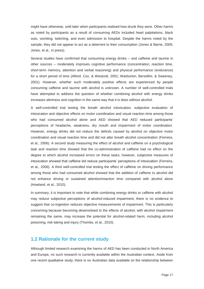might have otherwise, until later when participants realised how drunk they were. Other harms as noted by participants as a result of consuming AEDs included heart palpitations, black outs, vomiting, twitching, and even admission to hospital. Despite the harms noted by the sample, they did not appear to act as a deterrent to their consumption (Jones & Barrie, 2009; Jones, et al., in press).

Several studies have confirmed that consuming energy drinks – and caffeine and taurine in other sources – moderately improves cognitive performance (concentration, reaction time, short-term memory, attention and verbal reasoning) and physical performance (endurance) for a short period of time (Alford, Cox, & Westcott, 2001; Warburton, Bersellini, & Sweeney, 2001). However, whether such moderately positive effects are experienced by people consuming caffeine and taurine with alcohol is unknown. A number of well-controlled trials have attempted to address the question of whether combining alcohol with energy drinks increases alertness and cognition in the same way that it is does without alcohol.

A well-controlled trial testing the breath alcohol intoxication, subjective evaluation of intoxication and objective effects on motor coordination and visual reaction time among those who had consumed alcohol alone and AED showed that AED reduced participants' perceptions of headache, weakness, dry mouth and impairment of motor coordination. However, energy drinks did not reduce the deficits caused by alcohol on objective motor coordination and visual reaction time and did not alter breath alcohol concentration (Ferreira, et al., 2006). A second study measuring the effect of alcohol and caffeine on a psychological task and reaction time showed that the co-administration of caffeine had no effect on the degree to which alcohol increased errors on these tasks; however, subjective measures of intoxication showed that caffeine did reduce participants' perceptions of intoxication (Ferreira, et al., 2006). A third well-controlled trial testing the effect of caffeine on driving performance among those who had consumed alcohol showed that the addition of caffeine to alcohol did not enhance driving or sustained attention/reaction time compared with alcohol alone (Howland, et al., 2010).

In summary, it is important to note that while combining energy drinks or caffeine with alcohol may reduce subjective perceptions of alcohol-induced impairment, there is no evidence to suggest that co-ingestion reduces objective measurements of impairment. This is particularly concerning because becoming desensitised to the effects of alcohol, with alcohol impairment remaining the same, may increase the potential for alcohol-related harm, including alcohol poisoning, risk-taking and injury (Thombs, et al., 2010).

#### **1.2 Rationale for the current study**

Although limited research examining the harms of AED has been conducted in North America and Europe, no such research is currently available within the Australian context. Aside from one recent qualitative study, there is no Australian data available on the relationship between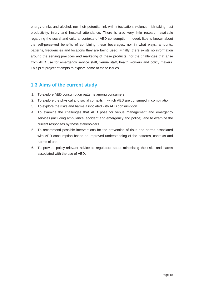energy drinks and alcohol, nor their potential link with intoxication, violence, risk-taking, lost productivity, injury and hospital attendance. There is also very little research available regarding the social and cultural contexts of AED consumption. Indeed, little is known about the self-perceived benefits of combining these beverages, nor in what ways, amounts, patterns, frequencies and locations they are being used. Finally, there exists no information around the serving practices and marketing of these products, nor the challenges that arise from AED use for emergency service staff, venue staff, health workers and policy makers. This pilot project attempts to explore some of these issues.

## **1.3 Aims of the current study**

- 1. To explore AED consumption patterns among consumers.
- 2. To explore the physical and social contexts in which AED are consumed in combination.
- 3. To explore the risks and harms associated with AED consumption.
- 4. To examine the challenges that AED pose for venue management and emergency services (including ambulance, accident and emergency and police), and to examine the current responses by these stakeholders.
- 5. To recommend possible interventions for the prevention of risks and harms associated with AED consumption based on improved understanding of the patterns, contexts and harms of use.
- 6. To provide policy-relevant advice to regulators about minimising the risks and harms associated with the use of AED.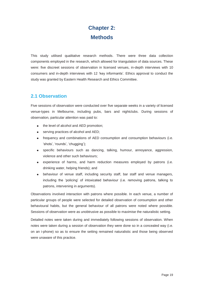## **Chapter 2: Methods**

This study utilised qualitative research methods. There were three data collection components employed in the research, which allowed for triangulation of data sources. These were: five discreet sessions of observation in licensed venues, in-depth interviews with 10 consumers and in-depth interviews with 12 'key informants'. Ethics approval to conduct the study was granted by Eastern Health Research and Ethics Committee.

## **2.1 Observation**

Five sessions of observation were conducted over five separate weeks in a variety of licensed venue-types in Melbourne, including pubs, bars and nightclubs. During sessions of observation, particular attention was paid to:

- the level of alcohol and AED promotion;
- serving practices of alcohol and AED;
- frequency and combinations of AED consumption and consumption behaviours (i.e. 'shots', 'rounds', 'chugging');
- specific behaviours such as dancing, talking, humour, annoyance, aggression, violence and other such behaviours;
- experience of harms, and harm reduction measures employed by patrons (i.e. drinking water, helping friends); and
- behaviour of venue staff, including security staff, bar staff and venue managers, including the 'policing' of intoxicated behaviour (i.e. removing patrons, talking to patrons, intervening in arguments).

Observations involved interaction with patrons where possible. In each venue, a number of particular groups of people were selected for detailed observation of consumption and other behavioural habits, but the general behaviour of all patrons were noted where possible. Sessions of observation were as unobtrusive as possible to maximise the naturalistic setting.

Detailed notes were taken during and immediately following sessions of observation. When notes were taken during a session of observation they were done so in a concealed way (i.e. on an i-phone) so as to ensure the setting remained naturalistic and those being observed were unaware of this practice.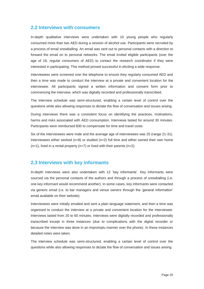### **2.2 Interviews with consumers**

In-depth qualitative interviews were undertaken with 10 young people who regularly consumed more than two AED during a session of alcohol use. Participants were recruited by a process of email snowballing. An email was sent out to personal contacts with a direction to forward the email on to personal networks. The email invited eligible participants (over the age of 18, regular consumers of AED) to contact the research coordinator if they were interested in participating. This method proved successful in eliciting a wide response.

Interviewees were screened over the telephone to ensure they regularly consumed AED and then a time was made to conduct the interview at a private and convenient location for the interviewee. All participants signed a written information and consent form prior to commencing the interview, which was digitally recorded and professionally transcribed.

The interview schedule was semi-structured, enabling a certain level of control over the questions while also allowing responses to dictate the flow of conversation and issues arising.

During interviews there was a consistent focus on identifying the practices, motivations, harms and risks associated with AED consumption. Interviews lasted for around 30 minutes. Participants were reimbursed \$30 to compensate for time and travel costs.

Six of the interviewees were male and the average age of interviewees was 25 (range 21-31). Interviewees either worked (n=8) or studied (n=2) full time and either owned their own home  $(n=1)$ , lived in a rental property  $(n=7)$  or lived with their parents  $(n=2)$ .

#### **2.3 Interviews with key informants**

In-depth interviews were also undertaken with 12 'key informants'. Key informants were sourced via the personal contacts of the authors and through a process of snowballing (i.e. one key informant would recommend another). In some cases, key informants were contacted via generic email (i.e. to bar managers and venue owners through the 'general information' email available on their website).

Interviewees were initially emailed and sent a plain language statement, and then a time was organised to conduct the interview at a private and convenient location for the interviewee. Interviews lasted from 20 to 60 minutes. Interviews were digitally recorded and professionally transcribed except in three instances (due to complications with the digital recorder or because the interview was done in an impromptu manner over the phone). In these instances detailed notes were taken.

The interview schedule was semi-structured, enabling a certain level of control over the questions while also allowing responses to dictate the flow of conversation and issues arising.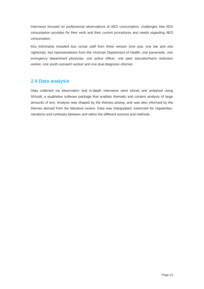Interviews focused on professional observations of AED consumption, challenges that AED consumption provides for their work and their current procedures and needs regarding AED consumption.

Key informants included four venue staff from three venues (one pub, one bar and one nightclub), two representatives from the Victorian Department of Health, one paramedic, one emergency department physician, one police officer, one peer educator/harm reduction worker, one youth outreach worker and one dual diagnosis clinician.

## **2.4 Data analysis**

Data collected via observation and in-depth interviews were stored and analysed using NVivo8, a qualitative software package that enables thematic and content analysis of large amounts of text. Analysis was shaped by the themes arising, and was also informed by the themes derived from the literature review. Data was triangulated, examined for regularities, variations and contrasts between and within the different sources and methods.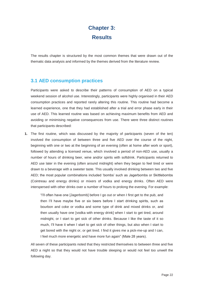## **Chapter 3: Results**

The results chapter is structured by the most common themes that were drawn out of the thematic data analysis and informed by the themes derived from the literature review.

## **3.1 AED consumption practices**

Participants were asked to describe their patterns of consumption of AED on a typical weekend session of alcohol use. Interestingly, participants were highly organised in their AED consumption practices and reported rarely altering this routine. This routine had become a learned experience, one that they had established after a trial and error phase early in their use of AED. This learned routine was based on achieving maximum benefits from AED and avoiding or minimising negative consequences from use. There were three distinct routines that participants described:

**1.** The first routine, which was discussed by the majority of participants (seven of the ten) involved the consumption of between three and five AED over the course of the night, beginning with one or two at the beginning of an evening (often at home after work or sport), followed by attending a licensed venue, which involved a period of non-AED use, usually a number of hours of drinking beer, wine and/or spirits with softdrink. Participants returned to AED use later in the evening (often around midnight) when they began to feel tired or were drawn to a beverage with a sweeter taste. This usually involved drinking between two and five AED; the most popular combinations included 'bombs' such as Jagerbombs or Skittlebombs (Cointreau and energy drinks) or mixers of vodka and energy drinks. Often AED were interspersed with other drinks over a number of hours to prolong the evening. For example:

> "I'll often have one [Jagerbomb] before I go out or when I first get to the pub, and then I'll have maybe five or six beers before I start drinking spirits, such as bourbon and coke or vodka and some type of drink and mixed drinks or, and then usually have one [vodka with energy drink] when I start to get tired, around midnight, or I start to get sick of other drinks. Because I like the taste of it so much, I'll have it when I start to get sick of other things, but also when I start to get bored with the night or, or get tired. I find it gives me a pick-me-up and I can, I feel much more energetic and have more fun again" (Male 28 years).

All seven of these participants noted that they restricted themselves to between three and five AED a night so that they would not have trouble sleeping or would not feel too unwell the following day.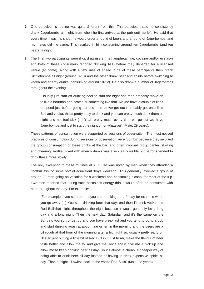- **2.** One participant's routine was quite different from this. This participant said he consistently drank Jagerbombs all night, from when he first arrived at the pub until he left. He said that every time it was his shout he would order a round of beers and a round of Jagerbombs, and his mates did the same. This resulted in him consuming around ten Jagerbombs (and ten beers) a night.
- **3.** The final two participants were illicit drug users (methamphetamine, cocaine and/or ecstasy) and both of these consumers reported drinking AED before they departed for a licensed venue (at home), along with a few lines of speed. One of these participants then drank Skittlebombs all night (around 8-10) and the other drank beer and spirits before switching to vodka and energy drinks (consuming around 10-12). He also drank a number of Jagerbombs throughout the evening:

"Usually just start off drinking beer to start the night and then probably move on to like a bourbon or a scotch or something like that. Maybe have a couple of lines of speed just before going out and then as we get out I probably get onto Red Bull and vodka, that's pretty easy to drink and you can pretty much drink them all night and not feel sick [...] Yeah pretty much every time we go out we have Jagerbombs and just to start the night off or whatever" (Male, 29 years).

These patterns of consumption were supported by sessions of observation. The most noticed practices of consumption during sessions of observation were 'bombs' because they involved the group consumption of these drinks at the bar, and often involved group banter, skolling and cheering. Vodka mixed with energy drinks was also clearly visible but patrons tended to drink these more slowly.

The only exception to these routines of AED use was noted by men when they attended a 'football trip' or some sort of equivalent 'boys weekend'. This generally involved a group of around 20 men going on vacation for a weekend and consuming alcohol for most of the trip. Two men reported that during such occasions energy drinks would often be consumed with beer throughout the day. For example:

"For example if you start on a, if you start drinking on a Friday for example when you go away [...] You start drinking beer that day, and then I'll drink vodka and Red Bull that night, throughout the night because it would generally be a long day and a long night. Then the next day, Saturday, and it's the same on the Sunday, you sort of get up and you have breakfast and you tend to go to a pub and start drinking again at about nine or ten in the morning and the beers are a bit rough at that hour of the morning after a big night so, usually pretty early on I'll start just putting a little bit of Red Bull in it just to ah, make the flavour of beer taste better and allow me to, and give me, once again give me a pick up and allow me to keep drinking beer all day. So it's almost a cheap, a cheaper way of being able to drink beer all day instead of having to drink expensive spirits all day. Then at night I'll switch back to the vodka Red Bulls" (Male, 28 years).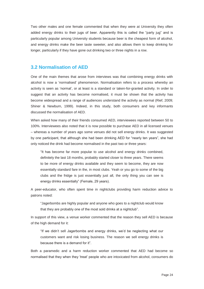Two other males and one female commented that when they were at University they often added energy drinks to their jugs of beer. Apparently this is called the "party jug" and is particularly popular among University students because beer is the cheapest form of alcohol, and energy drinks make the beer taste sweeter, and also allows them to keep drinking for longer, particularly if they have gone out drinking two or three nights in a row.

### **3.2 Normalisation of AED**

One of the main themes that arose from interviews was that combining energy drinks with alcohol is now a 'normalised' phenomenon. Normalisation refers to a process whereby an activity is seen as 'normal', or at least is a standard or taken-for-granted activity. In order to suggest that an activity has become normalised, it must be shown that the activity has become widespread and a range of audiences understand the activity as normal (Rief, 2009; Shiner & Newburn, 1999). Indeed, in this study, both consumers and key informants discussed the normalisation of AED.

When asked how many of their friends consumed AED, interviewees reported between 50 to 100%. Interviewees also noted that it is now possible to purchase AED in all licensed venues – whereas a number of years ago some venues did not sell energy drinks. It was suggested by one participant, that although she had been drinking AED for "nearly ten years", she had only noticed the drink had become normalised in the past two or three years:

"It has become far more popular to use alcohol and energy drinks combined, definitely the last 18 months, probably started closer to three years. There seems to be more of energy drinks available and they seem to become, they are now essentially standard fare in the, in most clubs. Yeah or you go to some of the big clubs and the fridge is just essentially just all, the only thing you can see is energy drinks essentially" (Female, 29 years).

A peer-educator, who often spent time in nightclubs providing harm reduction advice to patrons noted:

"Jagerbombs are highly popular and anyone who goes to a nightclub would know that they are probably one of the most sold drinks at a nightclub".

In support of this view, a venue worker commented that the reason they sell AED is because of the high demand for it:

"If we didn't sell Jagerbombs and energy drinks, we'd be neglecting what our customers want and risk losing business. The reason we sell energy drinks is because there is a demand for it".

Both a paramedic and a harm reduction worker commented that AED had become so normalised that they when they 'treat' people who are intoxicated from alcohol, consumers do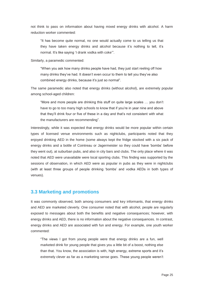not think to pass on information about having mixed energy drinks with alcohol. A harm reduction worker commented:

"It has become quite normal, no one would actually come to us telling us that they have taken energy drinks and alcohol because it's nothing to tell, it's normal. It's like saying 'I drank vodka with coke'".

Similarly, a paramedic commented:

"When you ask how many drinks people have had, they just start reeling off how many drinks they've had. It doesn't even occur to them to tell you they've also combined energy drinks, because it's just so normal".

The same paramedic also noted that energy drinks (without alcohol), are extremely popular among school-aged children:

"More and more people are drinking this stuff on quite large scales … you don't have to go to too many high schools to know that if you're in year nine and above that they'll drink four or five of these in a day and that's not consistent with what the manufacturers are recommending".

Interestingly, while it was expected that energy drinks would be more popular within certain types of licensed venue environments such as nightclubs, participants noted that they enjoyed drinking AED in the home (some always kept the fridge stocked with a six pack of energy drinks and a bottle of Cointreau or Jagermeister so they could have 'bombs' before they went out), at suburban pubs, and also in city bars and clubs. The only place where it was noted that AED were unavailable were local sporting clubs. This finding was supported by the sessions of observation, in which AED were as popular in pubs as they were in nightclubs (with at least three groups of people drinking 'bombs' and vodka AEDs in both types of venues).

#### **3.3 Marketing and promotions**

It was commonly observed, both among consumers and key informants, that energy drinks and AED are marketed cleverly. One consumer noted that with alcohol, people are regularly exposed to messages about both the benefits and negative consequences; however, with energy drinks and AED, there is no information about the negative consequences. In contrast, energy drinks and AED are associated with fun and energy. For example, one youth worker commented:

"The views I got from young people were that energy drinks are a fun, well marketed drink for young people that gives you a little bit of a boost, nothing else than that. You know, the association is with, high energy, extreme sports and it's extremely clever as far as a marketing sense goes. These young people weren't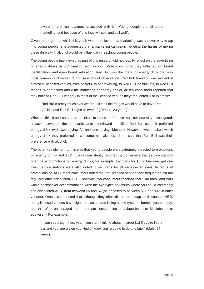aware of any real dangers associated with it... Young people are all about marketing, and because of this they will sell, and sell well".

Given the degree at which this youth worker believed that marketing was a clever way to tap into young people, she suggested that a marketing campaign targeting the harms of mixing these drinks with alcohol would be influential in reaching young people.

The young people interviewed as part of this research did not readily reflect on the advertising of energy drinks in combination with alcohol. More commonly, they reflected on brand identification, and even brand saturation. Red Bull was the brand of energy drink that was most commonly observed during sessions of observation. Red Bull branding was evident in almost all licensed venues, from posters, to bar towelling, to Red Bull ice buckets, to Red Bull fridges. When asked about the marketing of energy drinks, all ten consumers reported that they noticed Red Bull imagery in most of the licensed venues they frequented. For example:

"Red Bull's pretty much everywhere. Like all the fridges would have to have Red Bull in it and Red Bull signs all over it" (Female, 23 years).

Whether this brand saturation is linked to brand preference was not explicitly investigated; however, seven of the ten participants interviewed identified Red Bull as their preferred energy drink (with two saying 'V' and one saying 'Mother'). However, when asked which energy drink they preferred to consume with alcohol, all ten said that Red Bull was their preference with alcohol.

The other key element to this was that young people were extremely attracted to promotions on energy drinks and AED. It was consistently reported by consumers that service stations often have promotions on energy drinks; for example, two cans for \$5 or buy one, get one free. Service stations were also noted to sell cans for \$1 on selected days. In terms of promotions on AED, most consumers noted that the licensed venues they frequented did not regularly offer discounted AED. However, two consumers reported that "Uni bars" and bars within backpacker accommodation were the two types of venues where you could commonly find discounted AED, from between \$5 and \$7 (as opposed to between \$11 and \$15 in other venues). Others commented that although they often didn't see cheap or discounted AED, many licensed venues have signs or blackboards listing all the types of 'bombs' you can buy, and this often encouraged the impromptu consumption of a Jagerbomb or Skittlebomb, or equivalent. For example:

"If you see a sign then, yeah, you start thinking about it harder [...] If you're in the bar and you see a sign you kind of know you're going to do one later" (Male, 24 years).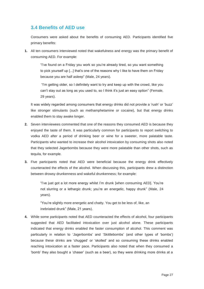## **3.4 Benefits of AED use**

Consumers were asked about the benefits of consuming AED. Participants identified five primary benefits:

**1.** All ten consumers interviewed noted that wakefulness and energy was the primary benefit of consuming AED. For example:

> "I've found on a Friday you work so you're already tired, so you want something to pick yourself up [...] that's one of the reasons why I like to have them on Friday because you are half asleep" (Male, 24 years).

> "I'm getting older, so I definitely want to try and keep up with the crowd, like you can't stay out as long as you used to, so I think it's just an easy option" (Female, 29 years).

It was widely regarded among consumers that energy drinks did not provide a 'rush' or 'buzz' like stronger stimulants (such as methamphetamine or cocaine), but that energy drinks enabled them to stay awake longer.

- **2.** Seven interviewees commented that one of the reasons they consumed AED is because they enjoyed the taste of them. It was particularly common for participants to report switching to vodka AED after a period of drinking beer or wine for a sweeter, more palatable taste. Participants who wanted to increase their alcohol intoxication by consuming shots also noted that they selected Jagerbombs because they were more palatable than other shots, such as tequila, for example.
- **3.** Five participants noted that AED were beneficial because the energy drink effectively counteracted the effects of the alcohol. When discussing this, participants drew a distinction between drowsy drunkenness and wakeful drunkenness; for example:

"I've just got a lot more energy whilst I'm drunk [when consuming AED]. You're not slurring or a lethargic drunk; you're an energetic, happy drunk" (Male, 24 years).

"You're slightly more energetic and chatty. You get to be less of, like, an inebriated drunk" (Male, 21 years).

**4.** While some participants noted that AED counteracted the effects of alcohol, four participants suggested that AED facilitated intoxication over just alcohol alone. These participants indicated that energy drinks enabled the faster consumption of alcohol. This comment was particularly in relation to 'Jagerbombs' and 'Skittlebombs' (and other types of 'bombs') because these drinks are 'chugged' or 'skolled' and so consuming these drinks enabled reaching intoxication at a faster pace. Participants also noted that when they consumed a 'bomb' they also bought a 'chaser' (such as a beer), so they were drinking more drinks at a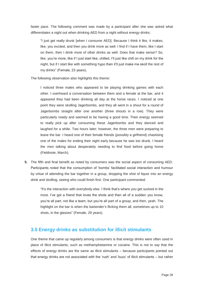faster pace. The following comment was made by a participant after she was asked what differentiates a night out when drinking AED from a night without energy drinks:

"I just get really drunk [when I consume AED]. Because I think it like, it makes, like, you excited, and then you drink more as well. I find if I have them, like I start on them, then I drink more of other drinks as well. Does that make sense? So, like, you're more, like if I just start like, chilled, I'll just like chill on my drink for the night, but if I start like with something hypo then it'll just make me skoll the rest of my drinks" (Female, 23 years).

The following observation also highlights this theme:

I noticed three males who appeared to be playing drinking games with each other. I overheard a conversation between them and a female at the bar, and it appeared they had been drinking all day at the horse races. I noticed at one point they were skolling Jagerbombs, and they all went in a shout for a round of Jagerbombs straight after one another (three shouts in a row). They were particularly rowdy and seemed to be having a good time. Their energy seemed to really pick up after consuming these Jagerbombs and they danced and laughed for a while. Two hours later; however, the three men were preparing to leave the bar. I heard one of their female friends (possibly a girlfriend) chastising one of the males for ending their night early because he was too drunk. I heard the men talking about desperately needing to find food before going home (Fieldnote, March).

**5.** The fifth and final benefit as noted by consumers was the social aspect of consuming AED. Participants noted that the consumption of 'bombs' facilitated social interaction and humour by virtue of attending the bar together in a group, dropping the shot of liquor into an energy drink and skolling, seeing who could finish first. One participant commented:

> "It's the interaction with everybody else. I think that's where you get sucked in the most. I've got a friend that loves the shots and then all of a sudden you know, you're all part, not like a team, but you're all part of a group, and then, yeah. The highlight on the bar is when the bartender's flicking them all, sometimes up to 10 shots, in the glasses" (Female, 29 years).

### **3.5 Energy drinks as substitution for illicit stimulants**

One theme that came up regularly among consumers is that energy drinks were often used in place of illicit stimulants, such as methamphetamine or cocaine. This is not to say that the effects of energy drinks are the same as illicit stimulants – because participants pointed out that energy drinks are not associated with the 'rush' and 'buzz' of illicit stimulants – but rather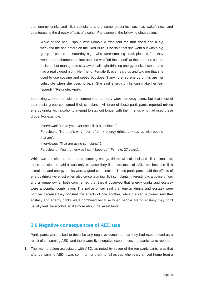that energy drinks and illicit stimulants share some properties, such as wakefulness and counteracting the drowsy effects of alcohol. For example, the following observation:

While at the bar, I spoke with Female A who told me that she'd had a big weekend the one before on the 'Red Bulls'. She said that she went out with a big group of people on Saturday night who were smoking crack pipes before they went out (methamphetamine) and she was "off the speed" at the moment, so had resisted, but managed to stay awake all night drinking energy drinks instead, and had a really good night. Her friend, Female B, overheard us and told me that she used to use cocaine and speed but doesn't anymore, so energy drinks are her substitute when she goes to bars. She said energy drinks can make her feel "speedy" (Fieldnote, April).

Interestingly, three participants commented that they were non-drug users, but that most of their social group consumed illicit stimulants. All three of these participants reported mixing energy drinks with alcohol to attempt to stay out longer with their friends who had used these drugs. For example:

Interviewer: "Have you ever used illicit stimulants"? Participant: "No, that's why I sort of drink energy drinks to keep up with people that are". Interviewer: "That are using stimulants"? Participant: "Yeah, otherwise I can't keep up" (Female, 27 years).

While two participants reported consuming energy drinks with alcohol and illicit stimulants, these participants said it was only because they liked the taste of AED, not because illicit stimulants and energy drinks were a good combination. These participants said the effects of energy drinks were lost when also co-consuming illicit stimulants. Interestingly, a police officer and a venue owner both commented that they'd observed that energy drinks and ecstasy were a popular combination. The police officer said that energy drinks and ecstasy were popular because they boosted the effects of one another, while the venue owner said that ecstasy and energy drinks were combined because when people are on ecstasy they don't usually feel like alcohol, so it's more about the sweet taste.

#### **3.6 Negative consequences of AED use**

Participants were asked to describe any negative outcomes that they had experienced as a result of consuming AED, and there were five negative experiences that participants reported:

**1.** The main problem associated with AED, as noted by seven of the ten participants, was that after consuming AED it was common for them to fall asleep when they arrived home from a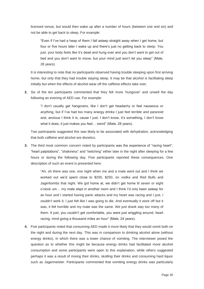licensed venue, but would then wake up after a number of hours (between one and six) and not be able to get back to sleep. For example:

"Even if I've had a heap of them I fall asleep straight away when I get home, but four or five hours later I wake up and there's just no getting back to sleep. You just, your body feels like it's dead and hung over and you don't want to get out of bed and you don't want to move, but your mind just won't let you sleep" (Male, 28 years).

It is interesting to note that no participants observed having trouble sleeping upon first arriving home, but only that they had trouble staying sleep. It may be that alcohol is facilitating sleep initially but when the effects of alcohol wear off the caffeine effects take over.

**2.** Six of the ten participants commented that they felt more 'hungover' and unwell the day following an evening of AED use. For example:

> "I don't usually get hangovers, like I don't get headachy or feel nauseous or anything, but if I've had too many energy drinks I just feel terrible and paranoid and, anxious I think it is, cause I just, I don't know, it's something, I don't know what it does, it just makes you feel… weird" (Male, 28 years).

Two participants suggested this was likely to be associated with dehydration, acknowledging that both caffeine and alcohol are diuretics.

**3.** The third most common concern noted by participants was the experience of "racing heart", "heart palpitations", "shakiness" and "twitching" either later in the night after sleeping for a few hours or during the following day. Five participants reported these consequences. One description of such an event is presented here:

> "Ah, oh there was one, one night when me and a mate went out and I think we worked out we'd spent close to \$200, \$250, on vodka and Red Bulls and Jagerbombs that night. We got home at, we didn't get home til seven or eight o'clock um… my mate slept in another room and I think I'd only been asleep for an hour and I started having panic attacks and my heart was racing and I just, I couldn't work it, I just felt like I was going to die. And eventually it wore off but it was, it felt horrible and my mate was the same. We just drank way too many of them. It just, you couldn't get comfortable, you were just wriggling around, heart racing, mind going a thousand miles an hour" (Male, 24 years).

**4.** Five participants noted that consuming AED made it more likely that they would vomit both on the night and during the next day. This was in comparison to drinking alcohol alone (without energy drinks), in which there was a lower chance of vomiting. The interviewer posed the question as to whether this might be because energy drinks had facilitated more alcohol consumption and some participants were open to this explanation, while others suggested perhaps it was a result of mixing their drinks, skolling their drinks and consuming hard liquor such as Jagermeister. Participants commented that vomiting energy drinks was particularly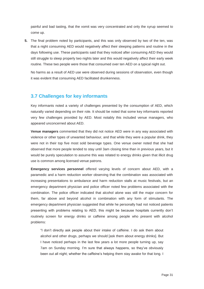painful and bad tasting, that the vomit was very concentrated and only the syrup seemed to come up.

**5.** The final problem noted by participants, and this was only observed by two of the ten, was that a night consuming AED would negatively affect their sleeping patterns and routine in the days following use. These participants said that they noticed after consuming AED they would still struggle to sleep properly two nights later and this would negatively affect their early week routine. These two people were those that consumed over ten AED on a typical night out.

No harms as a result of AED use were observed during sessions of observation, even though it was evident that consuming AED facilitated drunkenness.

## **3.7 Challenges for key informants**

Key informants noted a variety of challenges presented by the consumption of AED, which naturally varied depending on their role. It should be noted that some key informants reported very few challenges provided by AED. Most notably this included venue managers, who appeared unconcerned about AED.

**Venue managers** commented that they did not notice AED were in any way associated with violence or other types of unwanted behaviour, and that while they were a popular drink, they were not in their top five most sold beverage types. One venue owner noted that she had observed that more people tended to stay until 3am closing time than in previous years, but it would be purely speculation to assume this was related to energy drinks given that illicit drug use is common among licensed venue patrons.

**Emergency services personnel** offered varying levels of concern about AED, with a paramedic and a harm reduction worker observing that the combination was associated with increasing presentations to ambulance and harm reduction stalls at music festivals, but an emergency department physician and police officer noted few problems associated with the combination. The police officer indicated that alcohol alone was still the major concern for them, far above and beyond alcohol in combination with any form of stimulants. The emergency department physician suggested that while he personally had not noticed patients presenting with problems relating to AED, this might be because hospitals currently don't routinely screen for energy drinks or caffeine among people who present with alcohol problems:

"I don't directly ask people about their intake of caffeine. I do ask them about alcohol and other drugs, perhaps we should [ask them about energy drinks]. But I have noticed perhaps in the last few years a lot more people turning up, say 7am on Sunday morning. I'm sure that always happens, so they've obviously been out all night; whether the caffeine's helping them stay awake for that long. I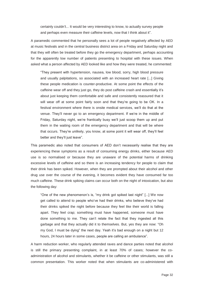certainly couldn't... It would be very interesting to know, to actually survey people and perhaps even measure their caffeine levels, now that I think about it".

A paramedic commented that he personally sees a lot of people negatively affected by AED at music festivals and in the central business district area on a Friday and Saturday night and that they will often be treated before they go the emergency department, perhaps accounting for the apparently low number of patients presenting to hospital with these issues. When asked what a person affected by AED looked like and how they were treated, he commented:

"They present with hypertension, nausea, low blood, sorry, high blood pressure and usually palpitations, so associated with an increased heart rate [...] Giving these people medication is counter-productive. At some point the effects of the caffeine wear off and they just go, they do post caffeine crash and essentially it's about just keeping them comfortable and safe and consistently reassured that it will wear off at some point fairly soon and that they're going to be OK. In a festival environment where there is onsite medical services, we'll do that at the venue. They'll never go to an emergency department. If we're in the middle of Friday, Saturday night, we're frantically busy we'll just scoop them up and put them in the waiting room of the emergency department and that will be where that occurs. They're unlikely, you know, at some point it will wear off, they'll feel better and they'll just leave".

This paramedic also noted that consumers of AED don't necessarily realise that they are experiencing these symptoms as a result of consuming energy drinks, either because AED use is so normalised or because they are unaware of the potential harms of drinking excessive levels of caffeine and so there is an increasing tendency for people to claim that their drink has been spiked. However, when they are prompted about their alcohol and other drug use over the course of the evening, it becomes evident they have consumed far too much caffeine. These drink spiking claims can occur both on the night of intoxication, but also the following day:

"One of the new phenomenon's is, "my drink got spiked last night" [...] We now get called to attend to people who've had their drinks, who believe they've had their drinks spiked the night before because they feel like their world is falling apart. They feel crap; something must have happened, someone must have done something to me. They can't relate the fact that they ingested all this garbage and that they actually did it to themselves. But, yes they are now: "Oh my God, I must be dying" the next day. Yeah it's bad enough on a night but 12 hours, 24 hours later in some cases, people are calling an ambulance".

A harm reduction worker, who regularly attended raves and dance parties noted that alcohol is still the primary presenting complaint, in at least 70% of cases; however the coadministration of alcohol and stimulants, whether it be caffeine or other stimulants, was still a common presentation. This worker noted that when stimulants are co-administered with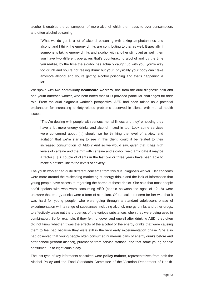alcohol it enables the consumption of more alcohol which then leads to over-consumption, and often alcohol poisoning:

"What we do get is a lot of alcohol poisoning with taking amphetamines and alcohol and I think the energy drinks are contributing to that as well. Especially if someone is taking energy drinks and alcohol with another stimulant as well, then you have two different operatives that's counteracting alcohol and by the time you realise, by the time the alcohol has actually caught up with you, you're way too drunk and you're not feeling drunk but your, physically your body can't take anymore alcohol and you're getting alcohol poisoning and that's happening a lot".

We spoke with two **community healthcare workers**, one from the dual diagnosis field and one youth outreach worker, who both noted that AED provided particular challenges for their role. From the dual diagnosis worker's perspective, AED had been raised as a potential explanation for increasing anxiety-related problems observed in clients with mental health issues:

"They're dealing with people with serious mental illness and they're noticing they have a lot more energy drinks and alcohol mixed in too. Look some services were concerned about [...] should we be thinking the level of anxiety and agitation that we're starting to see in this client, could it be related to their increased consumption [of AED]? And so we would say, given that it has high levels of caffeine and the mix with caffeine and alcohol, we'd anticipate it may be a factor [...] A couple of clients in the last two or three years have been able to make a definite link to the levels of anxiety".

The youth worker had quite different concerns from this dual diagnosis worker. Her concerns were more around the misleading marketing of energy drinks and the lack of information that young people have access to regarding the harms of these drinks. She said that most people she'd spoken with who were consuming AED (people between the ages of 12-18) were unaware that energy drinks were a form of stimulant. Of particular concern for her was that it was hard for young people, who were going through a standard adolescent phase of experimentation with a range of substances including alcohol, energy drinks and other drugs, to effectively tease out the properties of the various substances when they were being used in combination. So for example, if they felt hungover and unwell after drinking AED, they often did not know whether it was the effects of the alcohol or the energy drinks that were causing them to feel bad because they were still in the very early experimentation phase. She also had observed that young people often consumed numerous cans of energy drinks before and after school (without alcohol), purchased from service stations, and that some young people consumed up to eight cans a day.

The last type of key informants consulted were **policy makers**, representatives from both the Alcohol Policy and the Food Standards Committee of the Victorian Department of Health.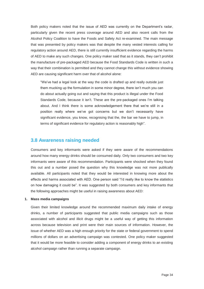Both policy makers noted that the issue of AED was currently on the Department's radar, particularly given the recent press coverage around AED and also recent calls from the Alcohol Policy Coalition to have the Foods and Safety Act re-examined. The main message that was presented by policy makers was that despite the many vested interests calling for regulatory action around AED, there is still currently insufficient evidence regarding the harms of AED to make any such changes. One policy maker said that as it stands, they can't prohibit the manufacture of pre-packaged AED because the Food Standards Code is written in such a way that their combination is permitted and they cannot change this without evidence showing AED are causing significant harm over that of alcohol alone:

"We've had a legal look at the way the code is drafted up and really outside just them mucking up the formulation in some minor degree, there isn't much you can do about actually going out and saying that this product is illegal under the Food Standards Code, because it isn't. These are the pre-packaged ones I'm talking about. And I think there is some acknowledgement there that we're still in a position really where we've got concerns but we don't necessarily have significant evidence, you know, recognising that the, the bar we have to jump, in terms of significant evidence for regulatory action is reasonably high".

#### **3.8 Awareness raising needed**

Consumers and key informants were asked if they were aware of the recommendations around how many energy drinks should be consumed daily. Only two consumers and two key informants were aware of this recommendation. Participants were shocked when they found this out and a number posed the question why this knowledge was not more publically available. All participants noted that they would be interested in knowing more about the effects and harms associated with AED. One person said "I'd really like to know the statistics on how damaging it could be". It was suggested by both consumers and key informants that the following approaches might be useful in raising awareness about AED:

#### **1. Mass media campaigns**

Given their limited knowledge around the recommended maximum daily intake of energy drinks, a number of participants suggested that public media campaigns such as those associated with alcohol and illicit drugs might be a useful way of getting this information across because television and print were their main sources of information. However, the issue of whether AED was a high enough priority for the state or federal government to spend millions of dollars on an advertising campaign was contested. One policy maker suggested that it would be more feasible to consider adding a component of energy drinks to an existing alcohol campaign rather than running a separate campaign.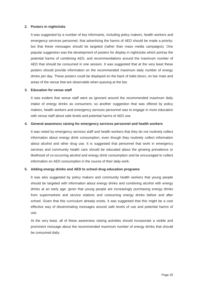#### **2. Posters in nightclubs**

It was suggested by a number of key informants, including policy makers, health workers and emergency services personnel, that advertising the harms of AED should be made a priority; but that these messages should be targeted (rather than mass media campaigns). One popular suggestion was the development of posters for display in nightclubs which portray the potential harms of combining AED, and recommendations around the maximum number of AED that should be consumed in one session. It was suggested that at the very least these posters should provide information on the recommended maximum daily number of energy drinks per day. These posters could be displayed on the back of toilet doors, on bar mats and areas of the venue that are observable when queuing at the bar.

#### **3. Education for venue staff**

It was evident that venue staff were as ignorant around the recommended maximum daily intake of energy drinks as consumers; so another suggestion that was offered by policy makers, health workers and emergency services personnel was to engage in more education with venue staff about safe levels and potential harms of AED use.

#### **4. General awareness raising for emergency services personnel and health workers**

It was noted by emergency services staff and health workers that they do not routinely collect information about energy drink consumption, even though they routinely collect information about alcohol and other drug use. It is suggested that personnel that work in emergency services and community health care should be educated about the growing prevalence or likelihood of co-occurring alcohol and energy drink consumption and be encouraged to collect information on AED consumption in the course of their daily work.

#### **5. Adding energy drinks and AED to school drug education programs**

It was also suggested by policy makers and community health workers that young people should be targeted with information about energy drinks and combining alcohol with energy drinks at an early age; given that young people are increasingly purchasing energy drinks from supermarkets and service stations and consuming energy drinks before and after school. Given that this curriculum already exists, it was suggested that this might be a cost effective way of disseminating messages around safe levels of use and potential harms of use.

At the very least, all of these awareness raising activities should incorporate a visible and prominent message about the recommended maximum number of energy drinks that should be consumed daily.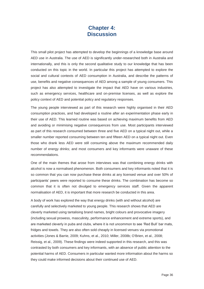## **Chapter 4: Discussion**

This small pilot project has attempted to develop the beginnings of a knowledge base around AED use in Australia. The use of AED is significantly under-researched both in Australia and internationally, and this is only the second qualitative study to our knowledge that has been conducted on this topic in the world. In particular this project has attempted to explore the social and cultural contexts of AED consumption in Australia, and describe the patterns of use, benefits and negative consequences of AED among a sample of young consumers. This project has also attempted to investigate the impact that AED have on various industries, such as emergency services, healthcare and on-premise licenses, as well as explore the policy context of AED and potential policy and regulatory responses.

The young people interviewed as part of this research were highly organised in their AED consumption practices, and had developed a routine after an experimentation phase early in their use of AED. This learned routine was based on achieving maximum benefits from AED and avoiding or minimising negative consequences from use. Most participants interviewed as part of this research consumed between three and five AED on a typical night out, while a smaller number reported consuming between ten and fifteen AED on a typical night out. Even those who drank less AED were still consuming above the maximum recommended daily number of energy drinks; and most consumers and key informants were unaware of these recommendations.

One of the main themes that arose from interviews was that combining energy drinks with alcohol is now a normalised phenomenon. Both consumers and key informants noted that it is so common that you can now purchase these drinks at any licensed venue and over 50% of participants' peers were reported to consume these drinks. The combination has become so common that it is often not divulged to emergency services staff. Given the apparent normalisation of AED, it is important that more research be conducted in this area.

A body of work has explored the way that energy drinks (with and without alcohol) are carefully and selectively marketed to young people. This research shows that AED are cleverly marketed using tantalising brand names, bright colours and provocative imagery (including sexual prowess, masculinity, performance enhancement and extreme sports), and are marketed cleverly in pubs and clubs, where it is not uncommon to see 'Red Bull' bar mats, fridges and towels. They are also often sold cheaply in licensed venues via promotional activities (Jones & Barrie, 2009; Kuhns, et al., 2010; Miller, 2008b; O'Brien, et al., 2008; Reissig, et al., 2009). These findings were indeed supported in this research, and this was contrasted by both consumers and key informants, with an absence of public attention to the potential harms of AED. Consumers in particular wanted more information about the harms so they could make informed decisions about their continued use of AED.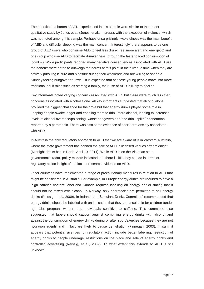The benefits and harms of AED experienced in this sample were similar to the recent qualitative study by Jones et al. (Jones, et al., in press), with the exception of violence, which was not noted among this sample. Perhaps unsurprisingly, wakefulness was the main benefit of AED and difficulty sleeping was the main concern. Interestingly, there appears to be one group of AED users who consume AED to feel less drunk (feel more alert and energetic) and one group who use AED to facilitate drunkenness (through the faster paced consumption of 'bombs'). While participants reported many negative consequences associated with AED use, the benefits were noted to outweigh the harms at this point in their lives, a time when they are actively pursuing leisure and pleasure during their weekends and are willing to spend a Sunday feeling hungover or unwell. It is expected that as these young people move into more traditional adult roles such as starting a family, their use of AED is likely to decline.

Key informants noted varying concerns associated with AED, but these were much less than concerns associated with alcohol alone. All key informants suggested that alcohol alone provided the biggest challenge for their role but that energy drinks played some role in keeping people awake longer and enabling them to drink more alcohol, leading to increased levels of alcohol overdose/poisoning, worse hangovers and "the drink spike" phenomena reported by a paramedic. There was also some evidence of short-term anxiety associated with AED.

In Australia the only regulatory approach to AED that we are aware of is in Western Australia, where the state government has banned the sale of AED in licensed venues after midnight (Midnight drinks ban in Perth, April 10, 2011). While AED is on the Victorian state government's radar, policy makers indicated that there is little they can do in terms of regulatory action in light of the lack of research evidence on AED.

Other countries have implemented a range of precautionary measures in relation to AED that might be considered in Australia. For example, in Europe energy drinks are required to have a 'high caffeine content' label and Canada requires labelling on energy drinks stating that it should not be mixed with alcohol. In Norway, only pharmacies are permitted to sell energy drinks (Reissig, et al., 2009). In Ireland, the 'Stimulant Drinks Committee' recommended that energy drinks should be labelled with an indication that they are unsuitable for children (under age 16), pregnant women and individuals sensitive to caffeine. This committee also suggested that labels should caution against combining energy drinks with alcohol and against the consumption of energy drinks during or after sport/exercise because they are not hydration agents and in fact are likely to cause dehydration (Finnegan, 2003). In sum, it appears that potential avenues for regulatory action include better labelling, restriction of energy drinks to people underage, restrictions on the place and sale of energy drinks and controlled advertising (Reissig, et al., 2009). To what extent this extends to AED is still unknown.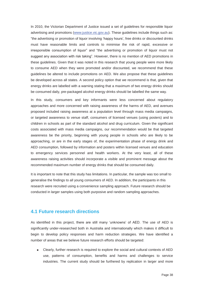In 2010, the Victorian Department of Justice issued a set of guidelines for responsible liquor advertising and promotions (www.justice.vic.gov.au). These guidelines include things such as: "the advertising or promotion of liquor involving 'happy hours', free drinks or discounted drinks must have reasonable limits and controls to minimise the risk of rapid, excessive or irresponsible consumption of liquor" and "the advertising or promotion of liquor must not suggest any association with risk taking". However, there is no mention of AED promotions in these guidelines. Given that it was noted in this research that young people were more likely to consume AED when they were promoted and/or discounted, we recommend that these guidelines be altered to include promotions on AED. We also propose that these guidelines be developed across all states. A second policy option that we recommend is that, given that energy drinks are labelled with a warning stating that a maximum of two energy drinks should be consumed daily, pre-packaged alcohol energy drinks should be labelled the same way.

In this study, consumers and key informants were less concerned about regulatory approaches and more concerned with raising awareness of the harms of AED, and avenues proposed included raising awareness at a population level through mass media campaigns, or targeted awareness to venue staff, consumers of licensed venues (using posters) and to children in schools as part of the standard alcohol and drug curriculum. Given the significant costs associated with mass media campaigns, our recommendation would be that targeted awareness be the priority, beginning with young people in schools who are likely to be approaching, or are in the early stages of, the experimentation phase of energy drink and AED consumption, followed by information and posters within licensed venues and education to emergency services personnel and health workers. At the very least, all of these awareness raising activities should incorporate a visible and prominent message about the recommended maximum number of energy drinks that should be consumed daily.

It is important to note that this study has limitations. In particular, the sample was too small to generalise the findings to all young consumers of AED. In addition, the participants in this research were recruited using a convenience sampling approach. Future research should be conducted in larger samples using both purposive and random sampling approaches.

#### **4.1 Future research directions**

As identified in this project, there are still many 'unknowns' of AED. The use of AED is significantly under-researched both in Australia and internationally which makes it difficult to begin to develop policy responses and harm reduction strategies. We have identified a number of areas that we believe future research efforts should be targeted:

 Clearly, further research is required to explore the social and cultural contexts of AED use, patterns of consumption, benefits and harms and challenges to service industries. The current study should be furthered by replication in larger and more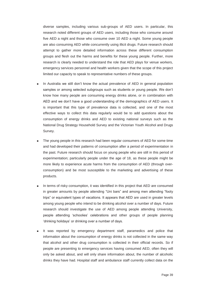diverse samples, including various sub-groups of AED users. In particular, this research noted different groups of AED users, including those who consume around five AED a night and those who consume over 10 AED a night. Some young people are also consuming AED while concurrently using illicit drugs. Future research should attempt to gather more detailed information across these different consumption groups and flesh out the harms and benefits for these young people. Further, more research is clearly needed to understand the role that AED plays for venue workers, emergency services personnel and health workers given that the scope of this project limited our capacity to speak to representative numbers of these groups.

- In Australia we still don't know the actual prevalence of AED in general population samples or among selected subgroups such as students or young people. We don't know how many people are consuming energy drinks alone, or in combination with AED and we don't have a good understanding of the demographics of AED users. It is important that this type of prevalence data is collected, and one of the most effective ways to collect this data regularly would be to add questions about the consumption of energy drinks and AED to existing national surveys such as the National Drug Strategy Household Survey and the Victorian Youth Alcohol and Drugs Survey.
- The young people in this research had been regular consumers of AED for some time and had developed their patterns of consumption after a period of experimentation in the past. Future research should focus on young people who are still in this period of experimentation; particularly people under the age of 18, as these people might be more likely to experience acute harms from the consumption of AED (through overconsumption) and be most susceptible to the marketing and advertising of these products.
- In terms of risky consumption, it was identified in this project that AED are consumed in greater amounts by people attending "Uni bars" and among men attending "footy trips" or equivalent types of vacations. It appears that AED are used in greater levels among young people who intend to be drinking alcohol over a number of days. Future research should investigate the use of AED among people attending University, people attending 'schoolies' celebrations and other groups of people planning 'drinking holidays' or drinking over a number of days.
- It was reported by emergency department staff, paramedics and police that information about the consumption of energy drinks is not collected in the same way that alcohol and other drug consumption is collected in their official records. So if people are presenting to emergency services having consumed AED, often they will only be asked about, and will only share information about, the number of alcoholic drinks they have had. Hospital staff and ambulance staff currently collect data on the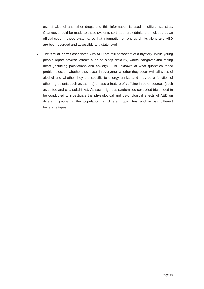use of alcohol and other drugs and this information is used in official statistics. Changes should be made to these systems so that energy drinks are included as an official code in these systems, so that information on energy drinks alone and AED are both recorded and accessible at a state level.

The 'actual' harms associated with AED are still somewhat of a mystery. While young  $\bullet$ people report adverse effects such as sleep difficulty, worse hangover and racing heart (including palpitations and anxiety), it is unknown at what quantities these problems occur, whether they occur in everyone, whether they occur with all types of alcohol and whether they are specific to energy drinks (and may be a function of other ingredients such as taurine) or also a feature of caffeine in other sources (such as coffee and cola softdrinks). As such, rigorous randomised controlled trials need to be conducted to investigate the physiological and psychological effects of AED on different groups of the population, at different quantities and across different beverage types.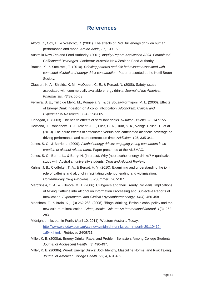## **References**

- Alford, C., Cox, H., & Westcott, R. (2001). The effects of Red Bull energy drink on human performance and mood. *Amino Acids, 21*, 139-150.
- Australia New Zealand Food Authority. (2001). *Inquiry Report. Application A394. Formulated Caffeinated Beverages*. Canberra: Australia New Zealand Food Authority.
- Brache, K., & Stockwell, T. (2010). *Drinking patterns and risk behaviours associated with combined alcohol and energy drink consumption*. Paper presented at the Kettil Bruun Society.
- Clauson, K. A., Shields, K. M., McQueen, C. E., & Persad, N. (2008). Safety issues associated with commercially available energy drinks. *Journal of the American Pharmacists, 48*(3), 55-63.
- Ferreira, S. E., Tulio de Mello, M., Pompeia, S., & de Souza-Formigoni, M. L. (2006). Effects of Energy Drink Ingestion on Alcohol Intoxication. *Alcoholism: Clinical and Experimental Research, 30*(4), 598-605.
- Finnegan, D. (2003). The health effects of stimulant drinks. *Nutrition Bulletin, 28*, 147-155.
- Howland, J., Rohsenow, D. J., Arnedt, J. T., Bliss, C. A., Hunt, S. K., Vehige-Calise, T., et al. (2010). The acute effects of caffeinated versus non-caffeinated alcoholic beverage on driving performance and attention/reaction time. *Addiction, 106*, 335-341.
- Jones, S. C., & Barrie, L. (2009). *Alcohol energy drinks: engaging young consumers in cocreation of alcohol related harm*. Paper presented at the ANZMAC.
- Jones, S. C., Barrie, L., & Berry, N. (in press). Why (not) alcohol energy drinks? A qualitative study with Australian university students. *Drug and Alcohol Review*.
- Kuhns, J. B., Clodfelter, T. A., & Bersot, H. Y. (2010). Examining and understanding the joint role of caffeine and alcohol in facilitating violent offending and victimization. *Contemporary Drug Problems, 37*(Summer), 267-287.
- Marczinski, C. A., & Fillmore, M. T. (2006). Clubgoers and their Trendy Cocktails: Implications of Mixing Caffeine into Alcohol on Information Processing and Subjective Reports of Intoxication. *Experimental and Clinical Psychopharmacology, 14*(4), 450-458.
- Measham, F., & Brain, K., 1(3) 262-283. (2005). 'Binge' drinking, British alcohol policy and the new culture of intoxication. *Crime, Media, Culture: An International Journal, 1*(3), 262- 283.
- Midnight drinks ban in Perth. (April 10, 2011). Western Australia Today. http://www.watoday.com.au/wa-news/midnight-drinks-ban-in-perth-20110410- 1d94x.html. Retrieved 24/08/11
- Miller, K. E. (2008a). Energy Drinks, Race, and Problem Behaviors Among College Students. *Journal of Adolescent Health, 43*, 490-497.
- Miller, K. E. (2008b). Wired: Energy Drinks: Jock Identity, Masculine Norms, and Risk Taking. *Journal of American College Health, 56*(5), 481-489.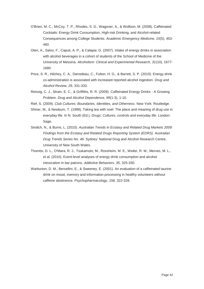- O'Brien, M. C., McCoy, T. P., Rhodes, S. D., Wagoner, A., & Wolfson, M. (2008). Caffeinated Cocktails: Energy Drink Consumption, High-risk Drinking, and Alcohol-related Consequences among College Students. *Academic Emergency Medicine, 15*(5), 453- 460.
- Oteri, A., Salvo, F., Caputi, A. P., & Calapai, G. (2007). Intake of energy drinks in association with alcohol beverages in a cohort of students of the School of Medicine of the University of Messina. *Alcoholism: Clinical and Experimental Research, 31*(10), 1677- 1680.
- Price, S. R., Hilchey, C. A., Darredeau, C., Fulton, H. G., & Barrett, S. P. (2010). Energy drink co-administration is associated with increased reported alcohol ingestion. *Drug and Alcohol Review, 29*, 331-333.
- Reissig, C. J., Strain, E. C., & Griffiths, R. R. (2009). Caffeinated Energy Drinks A Growing Problem. *Drug and Alcohol Dependence, 99*(1-3), 1-10.
- Rief, S. (2009). *Club Cultures: Boundaries, Identities, and Otherness*. New York: Routledge.
- Shiner, M., & Newburn, T. (1999). Taking tea with noel: The place and meaning of drug use in everyday life. In N. South (Ed.), *Drugs: Cultures, controls and everyday life*. London: Sage.
- Sindich, N., & Burns, L. (2010). *Australian Trends in Ecstasy and Related Drug Markets 2009: Findings from the Ecstasy and Related Drugs Reporting System (EDRS). Australian Drug Trends Series No. 46*. Sydney: National Drug and Alcohol Research Centre, University of New South Wales.
- Thombs, D. L., O'Mara, R. J., Tsukamoto, M., Rossheim, M. E., Weiler, R. M., Merves, M. L., et al. (2010). Event-level analyses of energy drink consumption and alcohol intoxication in bar patrons. *Addictive Behaviors, 35*, 325-330.
- Warburton, D. M., Bersellini, E., & Sweeney, E. (2001). An evaluation of a caffeinated taurine drink on mood, memory and information processing in healthy volunteers without caffeine abstinence. *Psychopharmacology, 158*, 322-328.